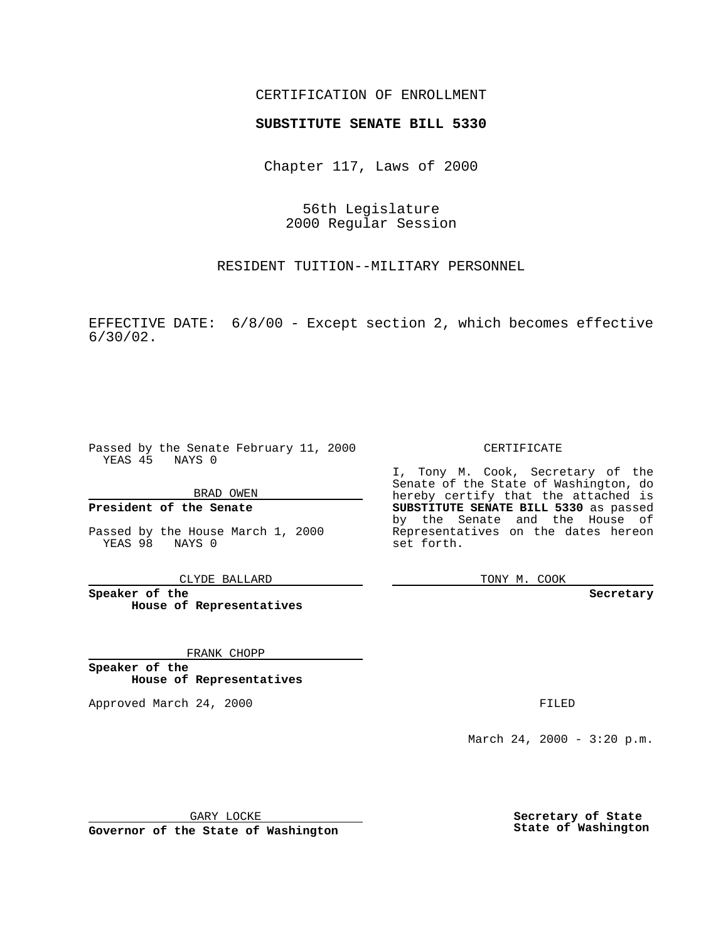### CERTIFICATION OF ENROLLMENT

# **SUBSTITUTE SENATE BILL 5330**

Chapter 117, Laws of 2000

56th Legislature 2000 Regular Session

RESIDENT TUITION--MILITARY PERSONNEL

EFFECTIVE DATE: 6/8/00 - Except section 2, which becomes effective 6/30/02.

Passed by the Senate February 11, 2000 YEAS 45 NAYS 0

BRAD OWEN

**President of the Senate**

Passed by the House March 1, 2000 YEAS 98 NAYS 0

CLYDE BALLARD

**Speaker of the House of Representatives**

FRANK CHOPP

**Speaker of the House of Representatives**

Approved March 24, 2000 FILED

### CERTIFICATE

I, Tony M. Cook, Secretary of the Senate of the State of Washington, do hereby certify that the attached is **SUBSTITUTE SENATE BILL 5330** as passed by the Senate and the House of Representatives on the dates hereon set forth.

TONY M. COOK

#### **Secretary**

March 24, 2000 - 3:20 p.m.

GARY LOCKE

**Governor of the State of Washington**

**Secretary of State State of Washington**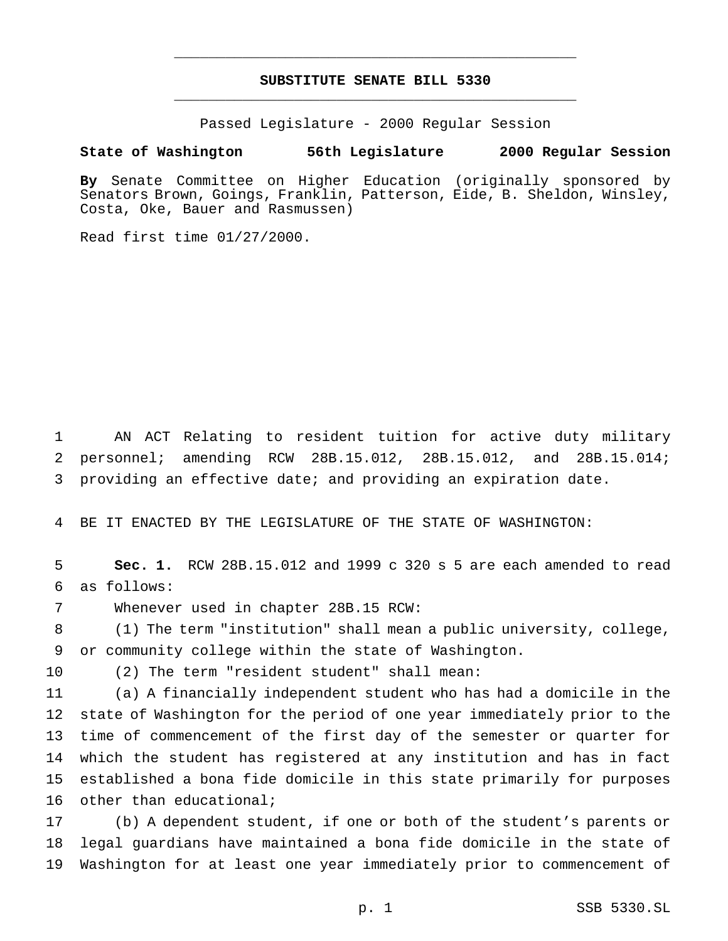# **SUBSTITUTE SENATE BILL 5330** \_\_\_\_\_\_\_\_\_\_\_\_\_\_\_\_\_\_\_\_\_\_\_\_\_\_\_\_\_\_\_\_\_\_\_\_\_\_\_\_\_\_\_\_\_\_\_

\_\_\_\_\_\_\_\_\_\_\_\_\_\_\_\_\_\_\_\_\_\_\_\_\_\_\_\_\_\_\_\_\_\_\_\_\_\_\_\_\_\_\_\_\_\_\_

Passed Legislature - 2000 Regular Session

**State of Washington 56th Legislature 2000 Regular Session**

**By** Senate Committee on Higher Education (originally sponsored by Senators Brown, Goings, Franklin, Patterson, Eide, B. Sheldon, Winsley, Costa, Oke, Bauer and Rasmussen)

Read first time 01/27/2000.

 AN ACT Relating to resident tuition for active duty military personnel; amending RCW 28B.15.012, 28B.15.012, and 28B.15.014; providing an effective date; and providing an expiration date.

BE IT ENACTED BY THE LEGISLATURE OF THE STATE OF WASHINGTON:

 **Sec. 1.** RCW 28B.15.012 and 1999 c 320 s 5 are each amended to read as follows:

Whenever used in chapter 28B.15 RCW:

 (1) The term "institution" shall mean a public university, college, or community college within the state of Washington.

(2) The term "resident student" shall mean:

 (a) A financially independent student who has had a domicile in the state of Washington for the period of one year immediately prior to the time of commencement of the first day of the semester or quarter for which the student has registered at any institution and has in fact established a bona fide domicile in this state primarily for purposes other than educational;

 (b) A dependent student, if one or both of the student's parents or legal guardians have maintained a bona fide domicile in the state of Washington for at least one year immediately prior to commencement of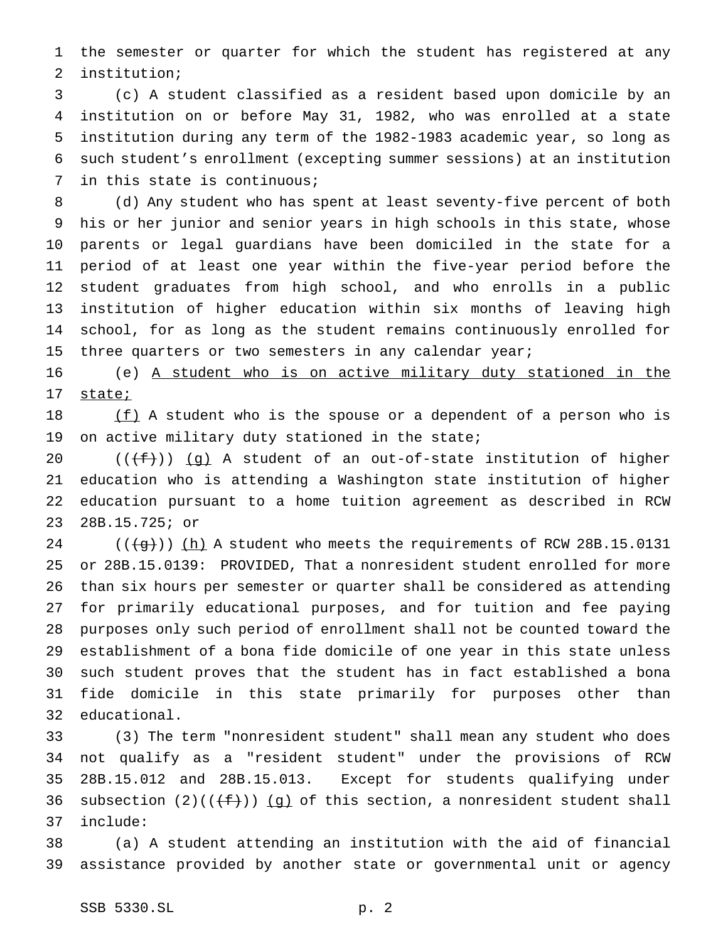the semester or quarter for which the student has registered at any institution;

 (c) A student classified as a resident based upon domicile by an institution on or before May 31, 1982, who was enrolled at a state institution during any term of the 1982-1983 academic year, so long as such student's enrollment (excepting summer sessions) at an institution in this state is continuous;

 (d) Any student who has spent at least seventy-five percent of both his or her junior and senior years in high schools in this state, whose parents or legal guardians have been domiciled in the state for a period of at least one year within the five-year period before the student graduates from high school, and who enrolls in a public institution of higher education within six months of leaving high school, for as long as the student remains continuously enrolled for 15 three quarters or two semesters in any calendar year;

 (e) A student who is on active military duty stationed in the state;

 $(f)$  A student who is the spouse or a dependent of a person who is on active military duty stationed in the state;

 $((\text{f}))(q)$  A student of an out-of-state institution of higher education who is attending a Washington state institution of higher education pursuant to a home tuition agreement as described in RCW 28B.15.725; or

 $((\overline{q}))$  (h) A student who meets the requirements of RCW 28B.15.0131 or 28B.15.0139: PROVIDED, That a nonresident student enrolled for more than six hours per semester or quarter shall be considered as attending for primarily educational purposes, and for tuition and fee paying purposes only such period of enrollment shall not be counted toward the establishment of a bona fide domicile of one year in this state unless such student proves that the student has in fact established a bona fide domicile in this state primarily for purposes other than educational.

 (3) The term "nonresident student" shall mean any student who does not qualify as a "resident student" under the provisions of RCW 28B.15.012 and 28B.15.013. Except for students qualifying under 36 subsection  $(2)((\{\pm\}))(g)$  of this section, a nonresident student shall include:

 (a) A student attending an institution with the aid of financial assistance provided by another state or governmental unit or agency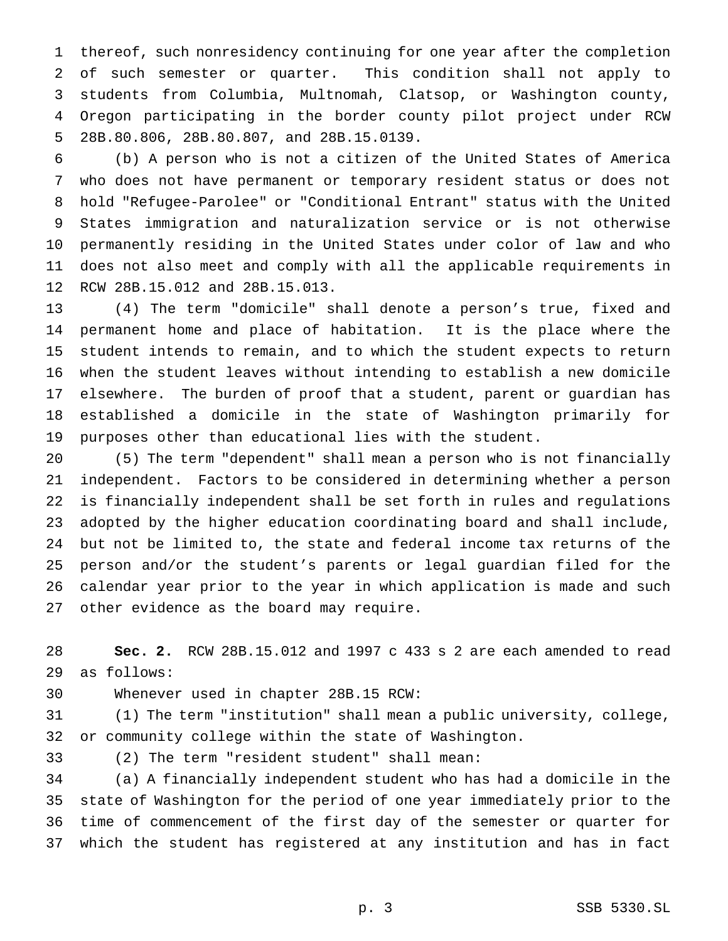thereof, such nonresidency continuing for one year after the completion of such semester or quarter. This condition shall not apply to students from Columbia, Multnomah, Clatsop, or Washington county, Oregon participating in the border county pilot project under RCW 28B.80.806, 28B.80.807, and 28B.15.0139.

 (b) A person who is not a citizen of the United States of America who does not have permanent or temporary resident status or does not hold "Refugee-Parolee" or "Conditional Entrant" status with the United States immigration and naturalization service or is not otherwise permanently residing in the United States under color of law and who does not also meet and comply with all the applicable requirements in RCW 28B.15.012 and 28B.15.013.

 (4) The term "domicile" shall denote a person's true, fixed and permanent home and place of habitation. It is the place where the student intends to remain, and to which the student expects to return when the student leaves without intending to establish a new domicile elsewhere. The burden of proof that a student, parent or guardian has established a domicile in the state of Washington primarily for purposes other than educational lies with the student.

 (5) The term "dependent" shall mean a person who is not financially independent. Factors to be considered in determining whether a person is financially independent shall be set forth in rules and regulations adopted by the higher education coordinating board and shall include, but not be limited to, the state and federal income tax returns of the person and/or the student's parents or legal guardian filed for the calendar year prior to the year in which application is made and such other evidence as the board may require.

 **Sec. 2.** RCW 28B.15.012 and 1997 c 433 s 2 are each amended to read as follows:

Whenever used in chapter 28B.15 RCW:

 (1) The term "institution" shall mean a public university, college, or community college within the state of Washington.

(2) The term "resident student" shall mean:

 (a) A financially independent student who has had a domicile in the state of Washington for the period of one year immediately prior to the time of commencement of the first day of the semester or quarter for which the student has registered at any institution and has in fact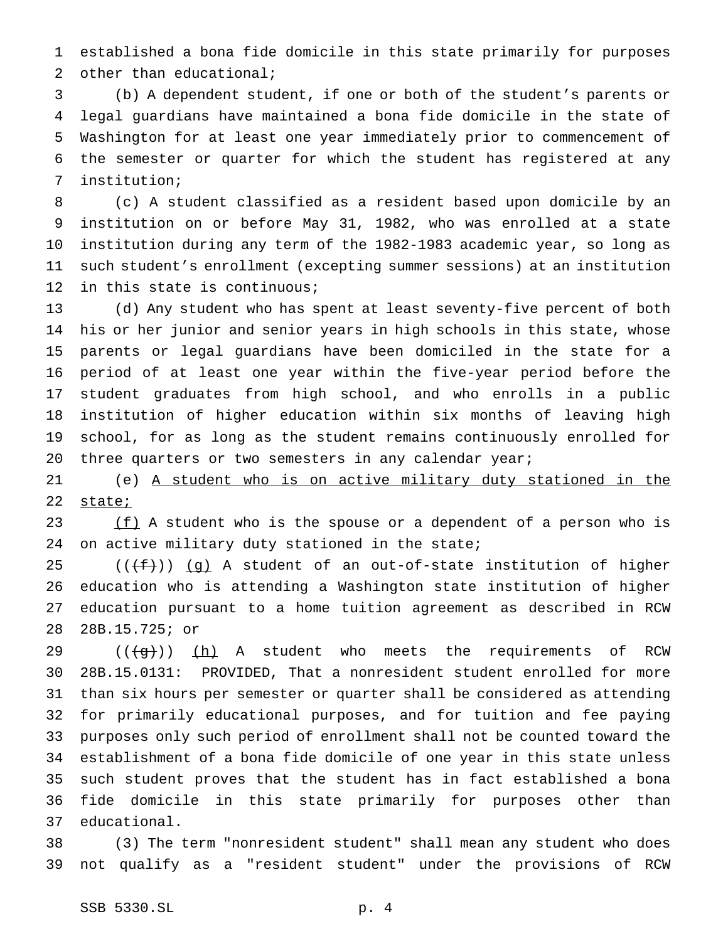established a bona fide domicile in this state primarily for purposes 2 other than educational;

 (b) A dependent student, if one or both of the student's parents or legal guardians have maintained a bona fide domicile in the state of Washington for at least one year immediately prior to commencement of the semester or quarter for which the student has registered at any institution;

 (c) A student classified as a resident based upon domicile by an institution on or before May 31, 1982, who was enrolled at a state institution during any term of the 1982-1983 academic year, so long as such student's enrollment (excepting summer sessions) at an institution in this state is continuous;

 (d) Any student who has spent at least seventy-five percent of both his or her junior and senior years in high schools in this state, whose parents or legal guardians have been domiciled in the state for a period of at least one year within the five-year period before the student graduates from high school, and who enrolls in a public institution of higher education within six months of leaving high school, for as long as the student remains continuously enrolled for 20 three quarters or two semesters in any calendar year;

 (e) A student who is on active military duty stationed in the 22 state;

23  $(f)$  A student who is the spouse or a dependent of a person who is 24 on active military duty stationed in the state;

 $((\text{f}+\text{f}))$  (g) A student of an out-of-state institution of higher education who is attending a Washington state institution of higher education pursuant to a home tuition agreement as described in RCW 28B.15.725; or

 $((\overline{q}))$  (h) A student who meets the requirements of RCW 28B.15.0131: PROVIDED, That a nonresident student enrolled for more than six hours per semester or quarter shall be considered as attending for primarily educational purposes, and for tuition and fee paying purposes only such period of enrollment shall not be counted toward the establishment of a bona fide domicile of one year in this state unless such student proves that the student has in fact established a bona fide domicile in this state primarily for purposes other than educational.

 (3) The term "nonresident student" shall mean any student who does not qualify as a "resident student" under the provisions of RCW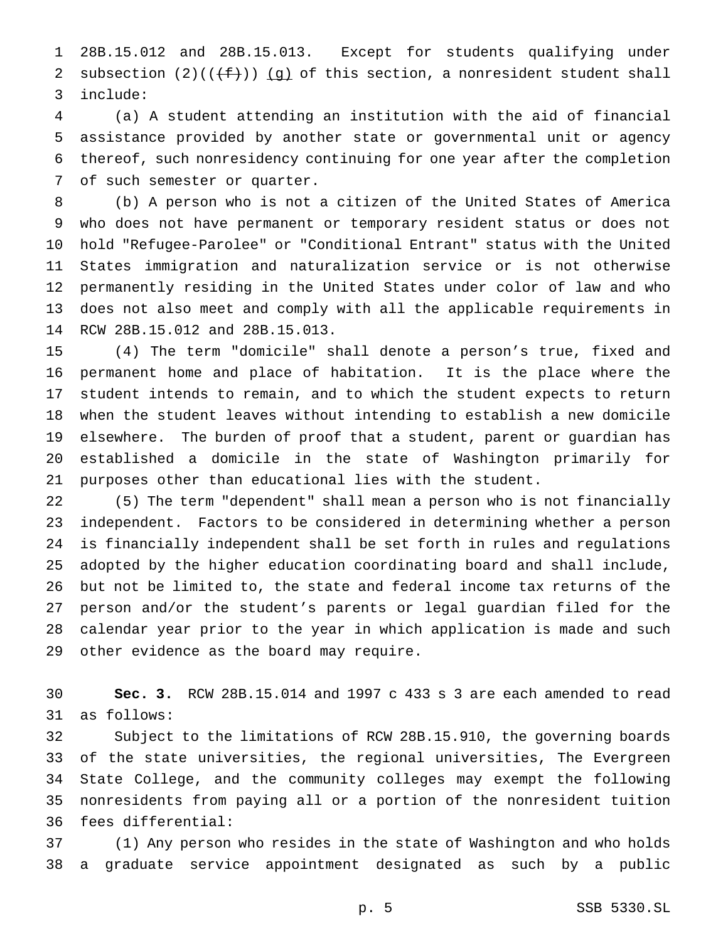28B.15.012 and 28B.15.013. Except for students qualifying under 2 subsection  $(2)((\{\pm\}))(g)$  of this section, a nonresident student shall include:

 (a) A student attending an institution with the aid of financial assistance provided by another state or governmental unit or agency thereof, such nonresidency continuing for one year after the completion of such semester or quarter.

 (b) A person who is not a citizen of the United States of America who does not have permanent or temporary resident status or does not hold "Refugee-Parolee" or "Conditional Entrant" status with the United States immigration and naturalization service or is not otherwise permanently residing in the United States under color of law and who does not also meet and comply with all the applicable requirements in RCW 28B.15.012 and 28B.15.013.

 (4) The term "domicile" shall denote a person's true, fixed and permanent home and place of habitation. It is the place where the student intends to remain, and to which the student expects to return when the student leaves without intending to establish a new domicile elsewhere. The burden of proof that a student, parent or guardian has established a domicile in the state of Washington primarily for purposes other than educational lies with the student.

 (5) The term "dependent" shall mean a person who is not financially independent. Factors to be considered in determining whether a person is financially independent shall be set forth in rules and regulations adopted by the higher education coordinating board and shall include, but not be limited to, the state and federal income tax returns of the person and/or the student's parents or legal guardian filed for the calendar year prior to the year in which application is made and such other evidence as the board may require.

 **Sec. 3.** RCW 28B.15.014 and 1997 c 433 s 3 are each amended to read as follows:

 Subject to the limitations of RCW 28B.15.910, the governing boards of the state universities, the regional universities, The Evergreen State College, and the community colleges may exempt the following nonresidents from paying all or a portion of the nonresident tuition fees differential:

 (1) Any person who resides in the state of Washington and who holds a graduate service appointment designated as such by a public